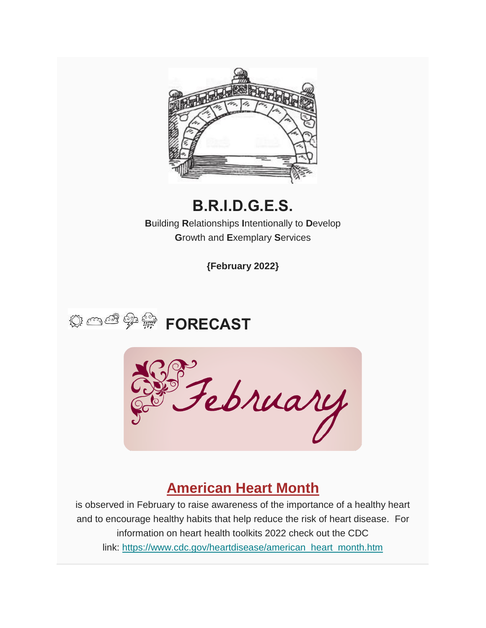

## **B.R.I.D.G.E.S.**

**B**uilding **R**elationships **I**ntentionally to **D**evelop **G**rowth and **E**xemplary **S**ervices

**{February 2022}**





## **American Heart Month**

is observed in February to raise awareness of the importance of a healthy heart and to encourage healthy habits that help reduce the risk of heart disease. For information on heart health toolkits 2022 check out the CDC link: [https://www.cdc.gov/heartdisease/american\\_heart\\_month.htm](https://www.cdc.gov/heartdisease/american_heart_month.htm)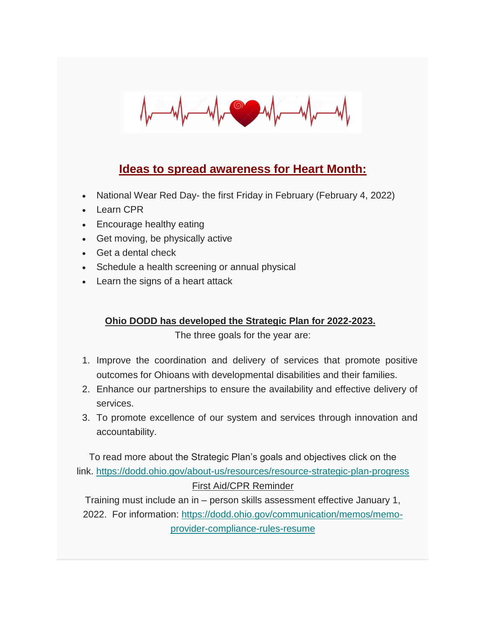

### **Ideas to spread awareness for Heart Month:**

- National Wear Red Day- the first Friday in February (February 4, 2022)
- Learn CPR
- Encourage healthy eating
- Get moving, be physically active
- Get a dental check
- Schedule a health screening or annual physical
- Learn the signs of a heart attack

### **Ohio DODD has developed the Strategic Plan for 2022-2023.**

The three goals for the year are:

- 1. Improve the coordination and delivery of services that promote positive outcomes for Ohioans with developmental disabilities and their families.
- 2. Enhance our partnerships to ensure the availability and effective delivery of services.
- 3. To promote excellence of our system and services through innovation and accountability.

To read more about the Strategic Plan's goals and objectives click on the link. <https://dodd.ohio.gov/about-us/resources/resource-strategic-plan-progress> First Aid/CPR Reminder

Training must include an in – person skills assessment effective January 1, 2022. For information: [https://dodd.ohio.gov/communication/memos/memo](https://dodd.ohio.gov/communication/memos/memo-provider-compliance-rules-resume)[provider-compliance-rules-resume](https://dodd.ohio.gov/communication/memos/memo-provider-compliance-rules-resume)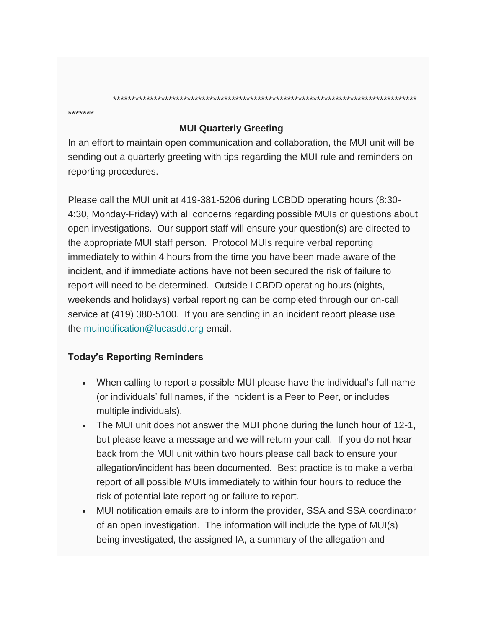**MUI Quarterly Greeting**

In an effort to maintain open communication and collaboration, the MUI unit will be sending out a quarterly greeting with tips regarding the MUI rule and reminders on reporting procedures.

\*\*\*\*\*\*\*\*\*\*\*\*\*\*\*\*\*\*\*\*\*\*\*\*\*\*\*\*\*\*\*\*\*\*\*\*\*\*\*\*\*\*\*\*\*\*\*\*\*\*\*\*\*\*\*\*\*\*\*\*\*\*\*\*\*\*\*\*\*\*\*\*\*\*\*\*\*\*\*\*\*\*

Please call the MUI unit at 419-381-5206 during LCBDD operating hours (8:30- 4:30, Monday-Friday) with all concerns regarding possible MUIs or questions about open investigations. Our support staff will ensure your question(s) are directed to the appropriate MUI staff person. Protocol MUIs require verbal reporting immediately to within 4 hours from the time you have been made aware of the incident, and if immediate actions have not been secured the risk of failure to report will need to be determined. Outside LCBDD operating hours (nights, weekends and holidays) verbal reporting can be completed through our on-call service at (419) 380-5100. If you are sending in an incident report please use the [muinotification@lucasdd.org](mailto:muinotification@lucasdd.org) email.

### **Today's Reporting Reminders**

\*\*\*\*\*\*\*

- When calling to report a possible MUI please have the individual's full name (or individuals' full names, if the incident is a Peer to Peer, or includes multiple individuals).
- The MUI unit does not answer the MUI phone during the lunch hour of 12-1, but please leave a message and we will return your call. If you do not hear back from the MUI unit within two hours please call back to ensure your allegation/incident has been documented. Best practice is to make a verbal report of all possible MUIs immediately to within four hours to reduce the risk of potential late reporting or failure to report.
- MUI notification emails are to inform the provider, SSA and SSA coordinator of an open investigation. The information will include the type of MUI(s) being investigated, the assigned IA, a summary of the allegation and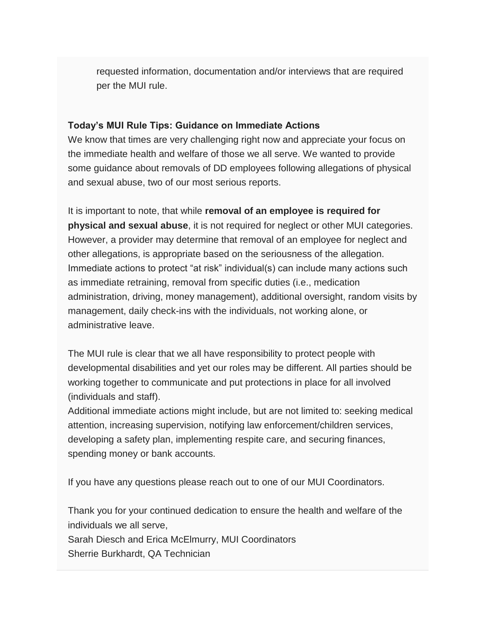requested information, documentation and/or interviews that are required per the MUI rule.

#### **Today's MUI Rule Tips: Guidance on Immediate Actions**

We know that times are very challenging right now and appreciate your focus on the immediate health and welfare of those we all serve. We wanted to provide some guidance about removals of DD employees following allegations of physical and sexual abuse, two of our most serious reports.

It is important to note, that while **removal of an employee is required for physical and sexual abuse**, it is not required for neglect or other MUI categories. However, a provider may determine that removal of an employee for neglect and other allegations, is appropriate based on the seriousness of the allegation. Immediate actions to protect "at risk" individual(s) can include many actions such as immediate retraining, removal from specific duties (i.e., medication administration, driving, money management), additional oversight, random visits by management, daily check-ins with the individuals, not working alone, or administrative leave.

The MUI rule is clear that we all have responsibility to protect people with developmental disabilities and yet our roles may be different. All parties should be working together to communicate and put protections in place for all involved (individuals and staff).

Additional immediate actions might include, but are not limited to: seeking medical attention, increasing supervision, notifying law enforcement/children services, developing a safety plan, implementing respite care, and securing finances, spending money or bank accounts.

If you have any questions please reach out to one of our MUI Coordinators.

Thank you for your continued dedication to ensure the health and welfare of the individuals we all serve,

Sarah Diesch and Erica McElmurry, MUI Coordinators Sherrie Burkhardt, QA Technician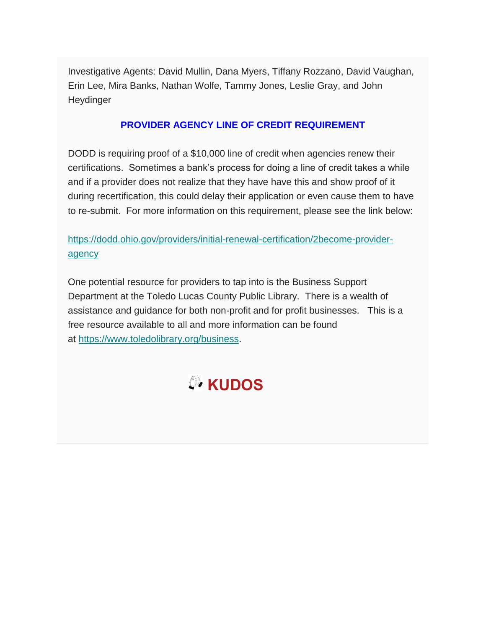Investigative Agents: David Mullin, Dana Myers, Tiffany Rozzano, David Vaughan, Erin Lee, Mira Banks, Nathan Wolfe, Tammy Jones, Leslie Gray, and John Heydinger

### **PROVIDER AGENCY LINE OF CREDIT REQUIREMENT**

DODD is requiring proof of a \$10,000 line of credit when agencies renew their certifications. Sometimes a bank's process for doing a line of credit takes a while and if a provider does not realize that they have have this and show proof of it during recertification, this could delay their application or even cause them to have to re-submit. For more information on this requirement, please see the link below:

### [https://dodd.ohio.gov/providers/initial-renewal-certification/2become-provider](https://dodd.ohio.gov/providers/initial-renewal-certification/2become-provider-agency)[agency](https://dodd.ohio.gov/providers/initial-renewal-certification/2become-provider-agency)

One potential resource for providers to tap into is the Business Support Department at the Toledo Lucas County Public Library. There is a wealth of assistance and guidance for both non-profit and for profit businesses. This is a free resource available to all and more information can be found at [https://www.toledolibrary.org/business.](https://www.toledolibrary.org/business)

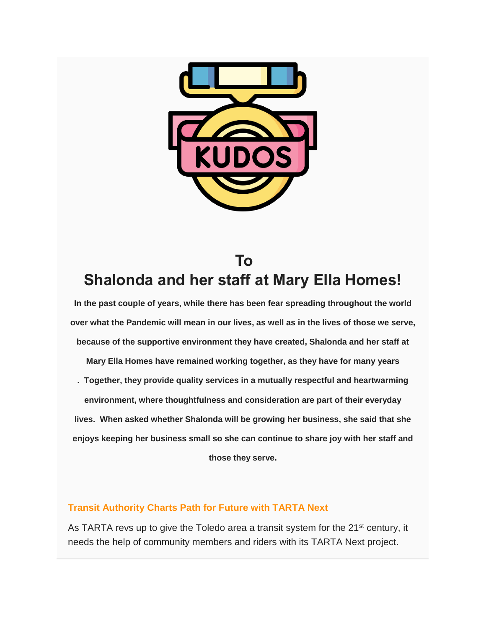

## **To Shalonda and her staff at Mary Ella Homes!**

**In the past couple of years, while there has been fear spreading throughout the world over what the Pandemic will mean in our lives, as well as in the lives of those we serve, because of the supportive environment they have created, Shalonda and her staff at Mary Ella Homes have remained working together, as they have for many years . Together, they provide quality services in a mutually respectful and heartwarming environment, where thoughtfulness and consideration are part of their everyday lives. When asked whether Shalonda will be growing her business, she said that she enjoys keeping her business small so she can continue to share joy with her staff and those they serve.**

### **Transit Authority Charts Path for Future with TARTA Next**

As TARTA revs up to give the Toledo area a transit system for the 21<sup>st</sup> century, it needs the help of community members and riders with its TARTA Next project.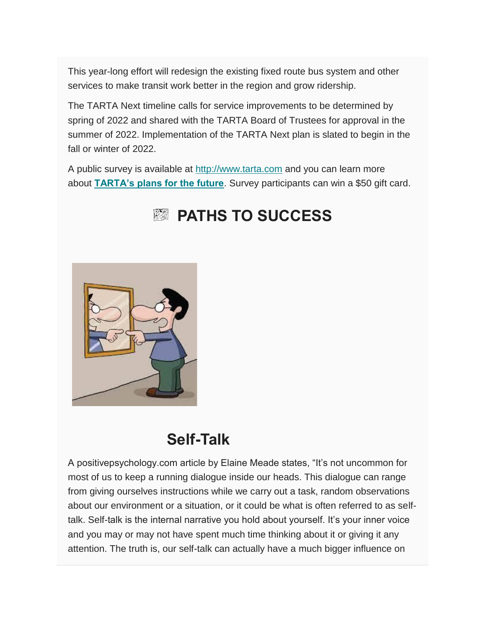This year-long effort will redesign the existing fixed route bus system and other services to make transit work better in the region and grow ridership.

The TARTA Next timeline calls for service improvements to be determined by spring of 2022 and shared with the TARTA Board of Trustees for approval in the summer of 2022. Implementation of the TARTA Next plan is slated to begin in the fall or winter of 2022.

A public survey is available at [http://www.tarta.com](http://www.tarta.com/) and you can learn more about **[TARTA's plans for the future](https://r20.rs6.net/tn.jsp?f=001dU94NLoNr6uQenW9XKBRv10chdvsHesXgpY3YgFbuD4gN6RXhpYzdbbeSe2-cUFUM1_ABdCXFX7v_mgA_apEFYPPUg7tMVbvuTtI5L8tDIpWD9jEbZ4xJ-6heuxA-BSDgv3Ep8bkH60zImMtOncgjQ==&c=RZPnVs5k3x4xlG5dbojV5ppE_cd-N48tsEqwvfExxyu9NlkepXO8tA==&ch=WW_HYARozroGokVeom-ld-maAsB-Y4qgPin736PgUsTLEG_-RMDw6Q==)**. Survey participants can win a \$50 gift card.



# **PATHS TO SUCCESS**

## **Self-Talk**

A positivepsychology.com article by Elaine Meade states, "It's not uncommon for most of us to keep a running dialogue inside our heads. This dialogue can range from giving ourselves instructions while we carry out a task, random observations about our environment or a situation, or it could be what is often referred to as selftalk. Self-talk is the internal narrative you hold about yourself. It's your inner voice and you may or may not have spent much time thinking about it or giving it any attention. The truth is, our self-talk can actually have a much bigger influence on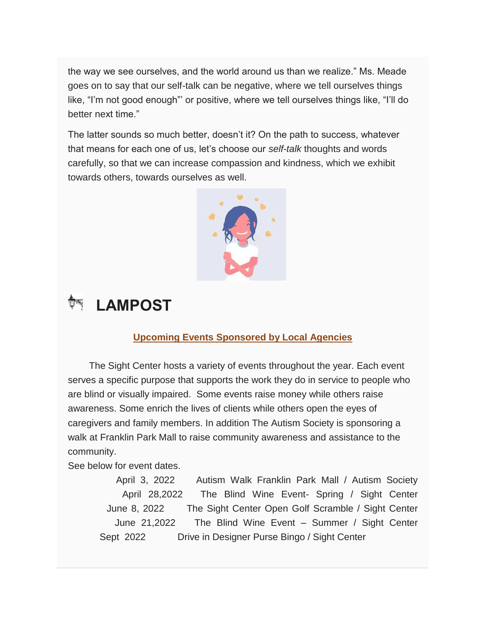the way we see ourselves, and the world around us than we realize." Ms. Meade goes on to say that our self-talk can be negative, where we tell ourselves things like, "I'm not good enough"' or positive, where we tell ourselves things like, "I'll do better next time."

The latter sounds so much better, doesn't it? On the path to success, whatever that means for each one of us, let's choose our *self-talk* thoughts and words carefully, so that we can increase compassion and kindness, which we exhibit towards others, towards ourselves as well.



# **LAMPOST**

### **Upcoming Events Sponsored by Local Agencies**

 The Sight Center hosts a variety of events throughout the year. Each event serves a specific purpose that supports the work they do in service to people who are blind or visually impaired. Some events raise money while others raise awareness. Some enrich the lives of clients while others open the eyes of caregivers and family members. In addition The Autism Society is sponsoring a walk at Franklin Park Mall to raise community awareness and assistance to the community.

See below for event dates.

April 3, 2022 Autism Walk Franklin Park Mall / Autism Society April 28,2022 The Blind Wine Event- Spring / Sight Center June 8, 2022 The Sight Center Open Golf Scramble / Sight Center June 21,2022 The Blind Wine Event – Summer / Sight Center Sept 2022 Drive in Designer Purse Bingo / Sight Center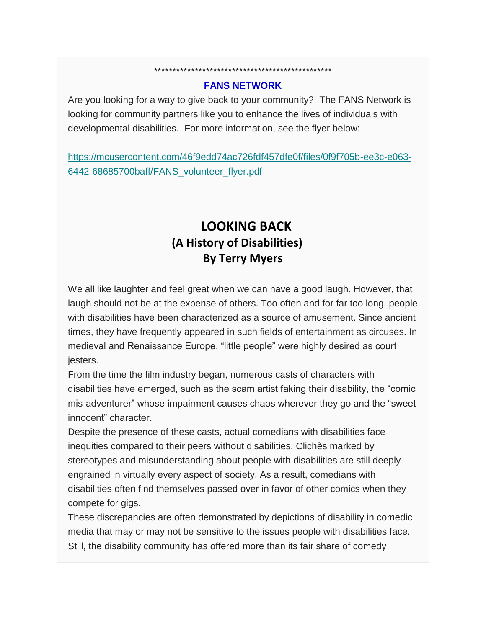#### **FANS NETWORK**

\*\*\*\*\*\*\*\*\*\*\*\*\*\*\*\*\*\*\*\*\*\*\*\*\*\*\*\*\*\*\*\*\*\*\*\*\*\*\*\*\*\*\*\*\*\*\*\*

Are you looking for a way to give back to your community? The FANS Network is looking for community partners like you to enhance the lives of individuals with developmental disabilities. For more information, see the flyer below:

[https://mcusercontent.com/46f9edd74ac726fdf457dfe0f/files/0f9f705b-ee3c-e063-](https://mcusercontent.com/46f9edd74ac726fdf457dfe0f/files/0f9f705b-ee3c-e063-6442-68685700baff/FANS_volunteer_flyer.pdf) [6442-68685700baff/FANS\\_volunteer\\_flyer.pdf](https://mcusercontent.com/46f9edd74ac726fdf457dfe0f/files/0f9f705b-ee3c-e063-6442-68685700baff/FANS_volunteer_flyer.pdf)

## **LOOKING BACK (A History of Disabilities) By Terry Myers**

We all like laughter and feel great when we can have a good laugh. However, that laugh should not be at the expense of others. Too often and for far too long, people with disabilities have been characterized as a source of amusement. Since ancient times, they have frequently appeared in such fields of entertainment as circuses. In medieval and Renaissance Europe, "little people" were highly desired as court jesters.

From the time the film industry began, numerous casts of characters with disabilities have emerged, such as the scam artist faking their disability, the "comic mis-adventurer" whose impairment causes chaos wherever they go and the "sweet innocent" character.

Despite the presence of these casts, actual comedians with disabilities face inequities compared to their peers without disabilities. Clichès marked by stereotypes and misunderstanding about people with disabilities are still deeply engrained in virtually every aspect of society. As a result, comedians with disabilities often find themselves passed over in favor of other comics when they compete for gigs.

These discrepancies are often demonstrated by depictions of disability in comedic media that may or may not be sensitive to the issues people with disabilities face. Still, the disability community has offered more than its fair share of comedy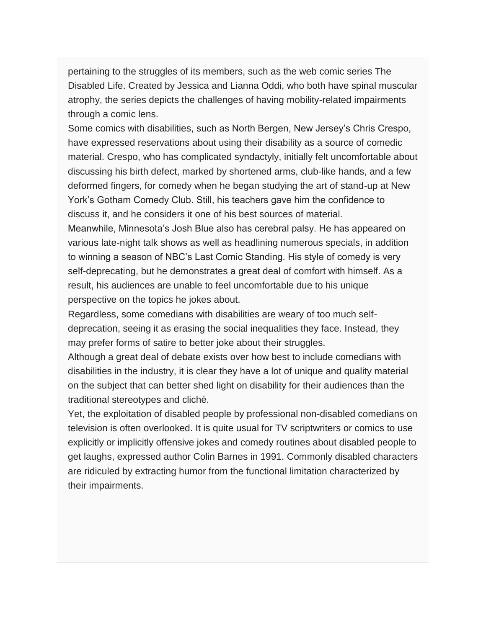pertaining to the struggles of its members, such as the web comic series The Disabled Life. Created by Jessica and Lianna Oddi, who both have spinal muscular atrophy, the series depicts the challenges of having mobility-related impairments through a comic lens.

Some comics with disabilities, such as North Bergen, New Jersey's Chris Crespo, have expressed reservations about using their disability as a source of comedic material. Crespo, who has complicated syndactyly, initially felt uncomfortable about discussing his birth defect, marked by shortened arms, club-like hands, and a few deformed fingers, for comedy when he began studying the art of stand-up at New York's Gotham Comedy Club. Still, his teachers gave him the confidence to discuss it, and he considers it one of his best sources of material.

Meanwhile, Minnesota's Josh Blue also has cerebral palsy. He has appeared on various late-night talk shows as well as headlining numerous specials, in addition to winning a season of NBC's Last Comic Standing. His style of comedy is very self-deprecating, but he demonstrates a great deal of comfort with himself. As a result, his audiences are unable to feel uncomfortable due to his unique perspective on the topics he jokes about.

Regardless, some comedians with disabilities are weary of too much selfdeprecation, seeing it as erasing the social inequalities they face. Instead, they may prefer forms of satire to better joke about their struggles.

Although a great deal of debate exists over how best to include comedians with disabilities in the industry, it is clear they have a lot of unique and quality material on the subject that can better shed light on disability for their audiences than the traditional stereotypes and clichè.

Yet, the exploitation of disabled people by professional non-disabled comedians on television is often overlooked. It is quite usual for TV scriptwriters or comics to use explicitly or implicitly offensive jokes and comedy routines about disabled people to get laughs, expressed author Colin Barnes in 1991. Commonly disabled characters are ridiculed by extracting humor from the functional limitation characterized by their impairments.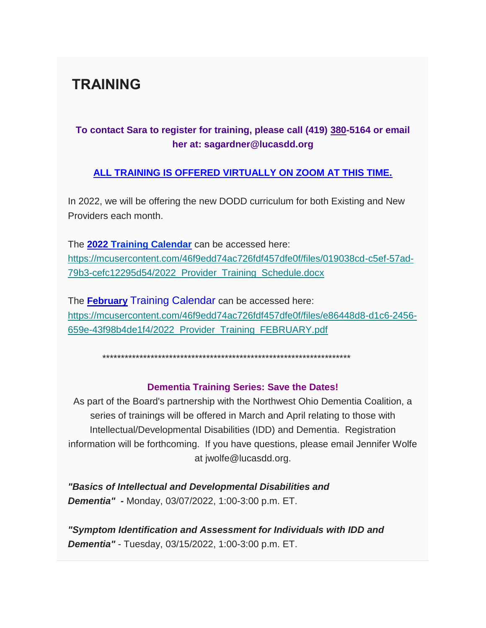## **TRAINING**

### **To contact Sara to register for training, please call (419) 380-5164 or email her at: sagardner@lucasdd.org**

### **ALL TRAINING IS OFFERED VIRTUALLY ON ZOOM AT THIS TIME.**

In 2022, we will be offering the new DODD curriculum for both Existing and New Providers each month.

The **2022 Training Calendar** can be accessed here: [https://mcusercontent.com/46f9edd74ac726fdf457dfe0f/files/019038cd-c5ef-57ad-](https://mcusercontent.com/46f9edd74ac726fdf457dfe0f/files/019038cd-c5ef-57ad-79b3-cefc12295d54/2022_Provider_Training_Schedule.docx)[79b3-cefc12295d54/2022\\_Provider\\_Training\\_Schedule.docx](https://mcusercontent.com/46f9edd74ac726fdf457dfe0f/files/019038cd-c5ef-57ad-79b3-cefc12295d54/2022_Provider_Training_Schedule.docx)

The **February** Training Calendar can be accessed here: [https://mcusercontent.com/46f9edd74ac726fdf457dfe0f/files/e86448d8-d1c6-2456-](https://mcusercontent.com/46f9edd74ac726fdf457dfe0f/files/e86448d8-d1c6-2456-659e-43f98b4de1f4/2022_Provider_Training_FEBRUARY.pdf) [659e-43f98b4de1f4/2022\\_Provider\\_Training\\_FEBRUARY.pdf](https://mcusercontent.com/46f9edd74ac726fdf457dfe0f/files/e86448d8-d1c6-2456-659e-43f98b4de1f4/2022_Provider_Training_FEBRUARY.pdf)

\*\*\*\*\*\*\*\*\*\*\*\*\*\*\*\*\*\*\*\*\*\*\*\*\*\*\*\*\*\*\*\*\*\*\*\*\*\*\*\*\*\*\*\*\*\*\*\*\*\*\*\*\*\*\*\*\*\*\*\*\*\*\*\*\*\*\*

### **Dementia Training Series: Save the Dates!**

As part of the Board's partnership with the Northwest Ohio Dementia Coalition, a series of trainings will be offered in March and April relating to those with Intellectual/Developmental Disabilities (IDD) and Dementia. Registration information will be forthcoming. If you have questions, please email Jennifer Wolfe at jwolfe@lucasdd.org.

*"Basics of Intellectual and Developmental Disabilities and Dementia" -* Monday, 03/07/2022, 1:00-3:00 p.m. ET.

*"Symptom Identification and Assessment for Individuals with IDD and Dementia"* - Tuesday, 03/15/2022, 1:00-3:00 p.m. ET.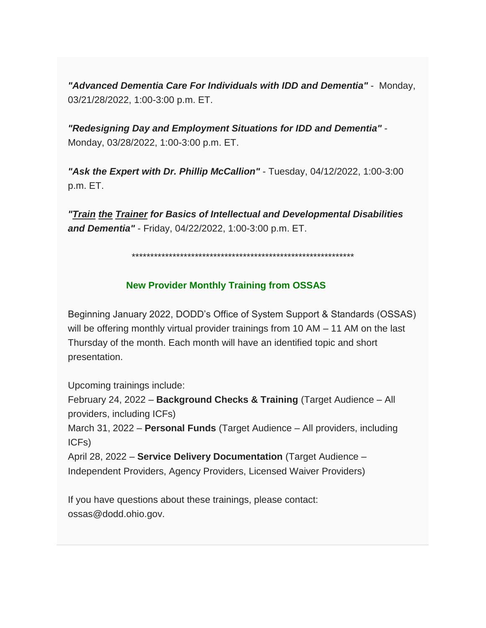*"Advanced Dementia Care For Individuals with IDD and Dementia"* - Monday, 03/21/28/2022, 1:00-3:00 p.m. ET.

*"Redesigning Day and Employment Situations for IDD and Dementia"* - Monday, 03/28/2022, 1:00-3:00 p.m. ET.

*"Ask the Expert with Dr. Phillip McCallion"* - Tuesday, 04/12/2022, 1:00-3:00 p.m. ET.

*"Train the Trainer for Basics of Intellectual and Developmental Disabilities and Dementia"* - Friday, 04/22/2022, 1:00-3:00 p.m. ET.

\*\*\*\*\*\*\*\*\*\*\*\*\*\*\*\*\*\*\*\*\*\*\*\*\*\*\*\*\*\*\*\*\*\*\*\*\*\*\*\*\*\*\*\*\*\*\*\*\*\*\*\*\*\*\*\*\*\*\*\*

#### **New Provider Monthly Training from OSSAS**

Beginning January 2022, DODD's Office of System Support & Standards (OSSAS) will be offering monthly virtual provider trainings from 10 AM – 11 AM on the last Thursday of the month. Each month will have an identified topic and short presentation.

Upcoming trainings include:

February 24, 2022 – **Background Checks & Training** (Target Audience – All providers, including ICFs)

March 31, 2022 – **Personal Funds** (Target Audience – All providers, including ICFs)

April 28, 2022 – **Service Delivery Documentation** (Target Audience – Independent Providers, Agency Providers, Licensed Waiver Providers)

If you have questions about these trainings, please contact: ossas@dodd.ohio.gov.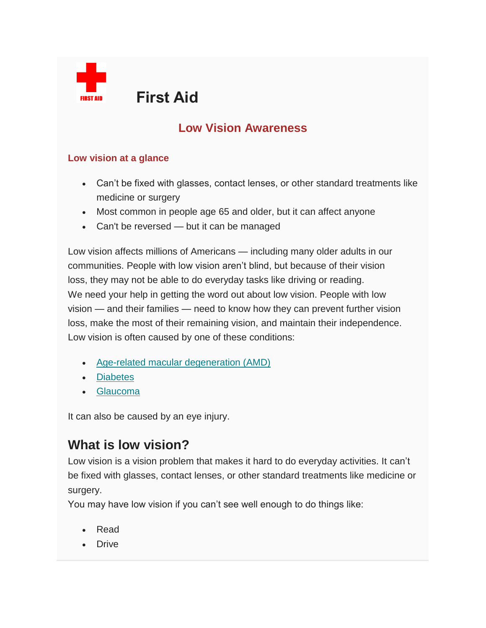

**FIRST AID FIRST AID** 

## **Low Vision Awareness**

#### **Low vision at a glance**

- Can't be fixed with glasses, contact lenses, or other standard treatments like medicine or surgery
- Most common in people age 65 and older, but it can affect anyone
- Can't be reversed but it can be managed

Low vision affects millions of Americans — including many older adults in our communities. People with low vision aren't blind, but because of their vision loss, they may not be able to do everyday tasks like driving or reading. We need your help in getting the word out about low vision. People with low vision — and their families — need to know how they can prevent further vision loss, make the most of their remaining vision, and maintain their independence. Low vision is often caused by one of these conditions:

- [Age-related macular degeneration \(AMD\)](https://www.nei.nih.gov/learn-about-eye-health/eye-conditions-and-diseases/age-related-macular-degeneration)
- [Diabetes](https://www.nei.nih.gov/learn-about-eye-health/eye-conditions-and-diseases/diabetic-retinopathy)
- [Glaucoma](https://www.nei.nih.gov/learn-about-eye-health/eye-conditions-and-diseases/glaucoma)

It can also be caused by an eye injury.

## **What is low vision?**

Low vision is a vision problem that makes it hard to do everyday activities. It can't be fixed with glasses, contact lenses, or other standard treatments like medicine or surgery.

You may have low vision if you can't see well enough to do things like:

- Read
- Drive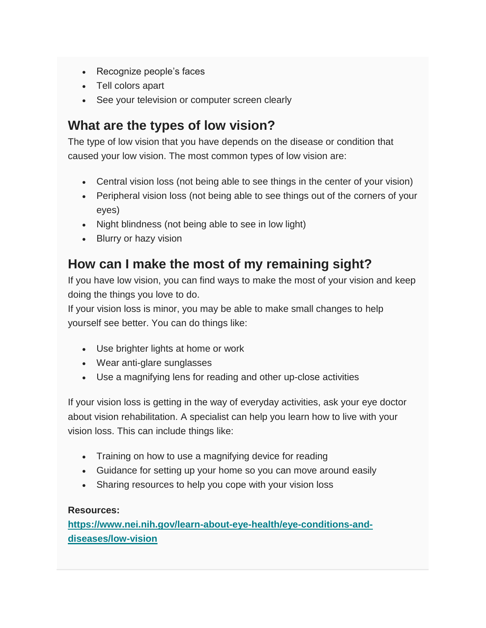- Recognize people's faces
- Tell colors apart
- See your television or computer screen clearly

## **What are the types of low vision?**

The type of low vision that you have depends on the disease or condition that caused your low vision. The most common types of low vision are:

- Central vision loss (not being able to see things in the center of your vision)
- Peripheral vision loss (not being able to see things out of the corners of your eyes)
- Night blindness (not being able to see in low light)
- Blurry or hazy vision

## **How can I make the most of my remaining sight?**

If you have low vision, you can find ways to make the most of your vision and keep doing the things you love to do.

If your vision loss is minor, you may be able to make small changes to help yourself see better. You can do things like:

- Use brighter lights at home or work
- Wear anti-glare sunglasses
- Use a magnifying lens for reading and other up-close activities

If your vision loss is getting in the way of everyday activities, ask your eye doctor about vision rehabilitation. A specialist can help you learn how to live with your vision loss. This can include things like:

- Training on how to use a magnifying device for reading
- Guidance for setting up your home so you can move around easily
- Sharing resources to help you cope with your vision loss

### **Resources:**

**[https://www.nei.nih.gov/learn-about-eye-health/eye-conditions-and](https://www.nei.nih.gov/learn-about-eye-health/eye-conditions-and-diseases/low-vision)[diseases/low-vision](https://www.nei.nih.gov/learn-about-eye-health/eye-conditions-and-diseases/low-vision)**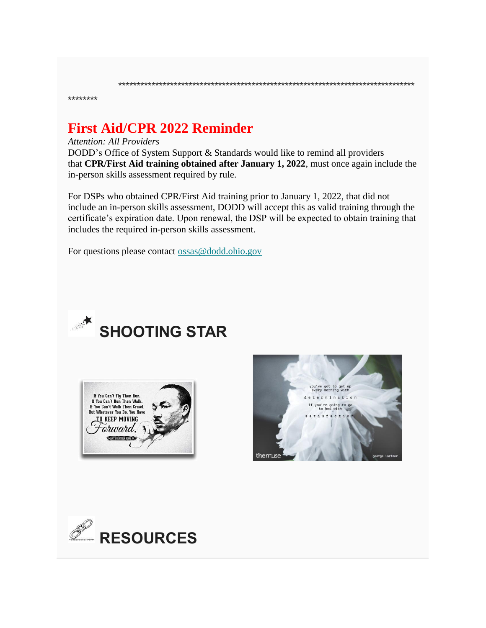\*\*\*\*\*\*\*\*

## **First Aid/CPR 2022 Reminder**

#### *Attention: All Providers*

DODD's Office of System Support & Standards would like to remind all providers that **CPR/First Aid training obtained after January 1, 2022**, must once again include the in-person skills assessment required by rule.

\*\*\*\*\*\*\*\*\*\*\*\*\*\*\*\*\*\*\*\*\*\*\*\*\*\*\*\*\*\*\*\*\*\*\*\*\*\*\*\*\*\*\*\*\*\*\*\*\*\*\*\*\*\*\*\*\*\*\*\*\*\*\*\*\*\*\*\*\*\*\*\*\*\*\*\*\*\*\*\*

For DSPs who obtained CPR/First Aid training prior to January 1, 2022, that did not include an in-person skills assessment, DODD will accept this as valid training through the certificate's expiration date. Upon renewal, the DSP will be expected to obtain training that includes the required in-person skills assessment.

For questions please contact [ossas@dodd.ohio.gov](mailto:ossas@dodd.ohio.gov)



# **SHOOTING STAR**